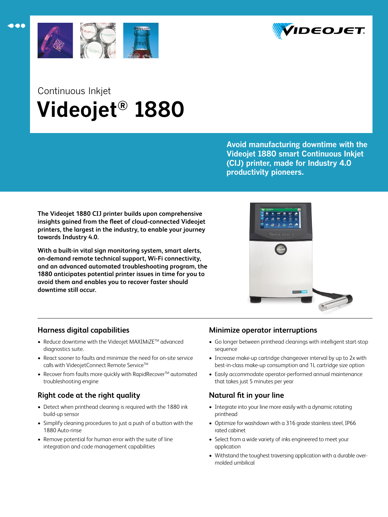



## Continuous Inkjet  **Videojet® 1880**

**Avoid manufacturing downtime with the Videojet 1880 smart Continuous Inkjet (CIJ) printer, made for Industry 4.0 productivity pioneers.** 

**The Videojet 1880 CIJ printer builds upon comprehensive insights gained from the fleet of cloud-connected Videojet printers, the largest in the industry, to enable your journey towards Industry 4.0.** 

**With a built-in vital sign monitoring system, smart alerts, on-demand remote technical support, Wi-Fi connectivity, and an advanced automated troubleshooting program, the 1880 anticipates potential printer issues in time for you to avoid them and enables you to recover faster should downtime still occur.**



## **Harness digital capabilities**

- Reduce downtime with the Videojet MAXIMiZE<sup>TM</sup> advanced diagnostics suite.
- React sooner to faults and minimize the need for on-site service calls with VideojetConnect Remote Service™
- Recover from faults more quickly with RapidRecover<sup>TM</sup> automated troubleshooting engine

## **Right code at the right quality**

- Detect when printhead cleaning is required with the 1880 ink build-up sensor
- Simplify cleaning procedures to just a push of a button with the 1880 Auto-rinse
- Remove potential for human error with the suite of line integration and code management capabilities

## **Minimize operator interruptions**

- Go longer between printhead cleanings with intelligent start-stop sequence
- Increase make-up cartridge changeover interval by up to 2x with best-in-class make-up consumption and 1L cartridge size option
- Easily accommodate operator-performed annual maintenance that takes just 5 minutes per year

## **Natural fit in your line**

- Integrate into your line more easily with a dynamic rotating printhead
- Optimize for washdown with a 316 grade stainless steel, IP66 rated cabinet
- Select from a wide variety of inks engineered to meet your application
- Withstand the toughest traversing application with a durable overmolded umbilical